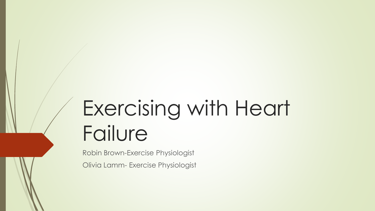## Exercising with Heart Failure

Robin Brown-Exercise Physiologist Olivia Lamm- Exercise Physiologist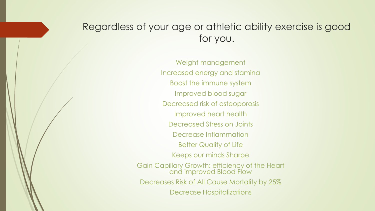### Regardless of your age or athletic ability exercise is good for you.

Weight management Increased energy and stamina Boost the immune system Improved blood sugar Decreased risk of osteoporosis Improved heart health Decreased Stress on Joints Decrease Inflammation Better Quality of Life Keeps our minds Sharpe Gain Capillary Growth: efficiency of the Heart and improved Blood Flow Decreases Risk of All Cause Mortality by 25% Decrease Hospitalizations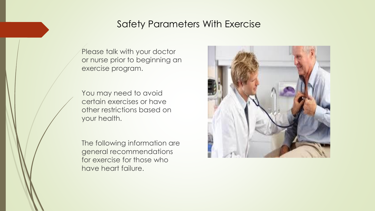### Safety Parameters With Exercise

Please talk with your doctor or nurse prior to beginning an exercise program.

You may need to avoid certain exercises or have other restrictions based on your health.

The following information are general recommendations for exercise for those who have heart failure.

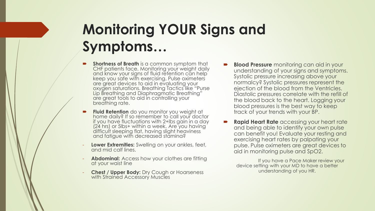## **Monitoring YOUR Signs and Symptoms…**

- **Shortness of Breath** is a common symptom that CHF patients face. Monitoring your weight daily and know your signs of fluid retention can help keep you safe with exercising. Pulse oximeters are great devices to aid in evaluating your oxygen saturations. Breathing Tactics like "Purse Lip Breathing and Diaphragmatic Breathing" are great tools to aid in controlling your breathing rate.
- **Fluid Retention** do you monitor you weight at home daily? If so remember to call your doctor if you have fluctuations with 2+lbs gain in a day (24 hrs) or 5lbs+ within a week. Are you having difficult sleeping flat, having slight heaviness and fatigue with decreased stamina?
- **Lower Extremities:** Swelling on your ankles, feet, and mid calf lines.
- **Abdominal:** Access how your clothes are fitting at your waist line
- **Chest / Upper Body:** Dry Cough or Hoarseness with Strained Accessory Muscles
- **Blood Pressure** monitoring can aid in your understanding of your signs and symptoms. Systolic pressure increasing above your normalcy? Systolic pressures represent the ejection of the blood from the Ventricles. Diastolic pressures correlate with the refill of the blood back to the heart. Logging your blood pressures is the best way to keep track of your trends with your BP.
- **Rapid Heart Rate** accessing your heart rate and being able to identify your own pulse can benefit you! Evaluate your resting and exercising heart rates by palpating your pulse. Pulse oximeters are great devices to aid in monitoring pulse and SpO2.

If you have a Pace Maker review your device setting with your MD to have a better understanding of you HR.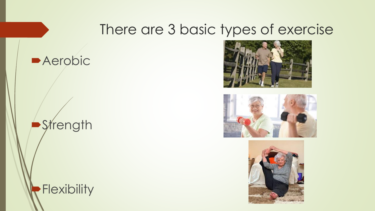### There are 3 basic types of exercise











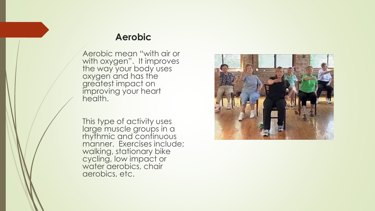#### **Aerobic**

Aerobic mean "with air or with oxygen". It improves the way your body uses oxygen and has the greatest impact on improving your heart health.

This type of activity uses large muscle groups in a rhythmic and continuous manner. Exercises include; walking, stationary bike cycling, low impact or water aerobics, chair aerobics, etc.

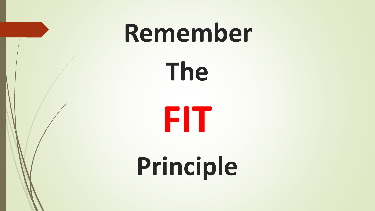# **Remember**

**The** 



## **Principle**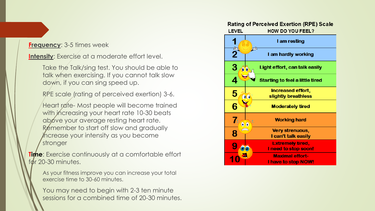#### **Frequency**: 3-5 times week

**Intensity**: Exercise at a moderate effort level.

Take the Talk/sing test. You should be able to talk when exercising. If you cannot talk slow down, if you can sing speed up.

RPE scale (rating of perceived exertion) 3-6.

Heart rate-Most people will become trained with increasing your heart rate 10-30 beats above your average resting heart rate. Remember to start off slow and gradually increase your intensity as you become stronger

**Time**: Exercise continuously at a comfortable effort  $f$ <sub>d</sub> $r$  20-30 minutes.

As your fitness improve you can increase your total exercise time to 30-60 minutes.

You may need to begin with 2-3 ten minute sessions for a combined time of 20-30 minutes.

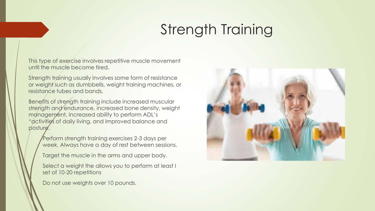## Strength Training

This type of exercise involves repetitive muscle movement until the muscle become tired.

Strength training usually involves some form of resistance or weight such as dumbbells, weight training machines, or resistance tubes and bands.

Benefits of strength training include increased muscular strength and endurance, increased bone density, weight management, increased ability to perform ADL's "activities of daily living, and improved balance and posture.

Perform strength training exercises 2-3 days per week. Always have a day of rest between sessions.

Target the muscle in the arms and upper body.

Select a weight the allows you to perform at least I set of 10-20 repetitions

Do not use weights over 10 pounds.

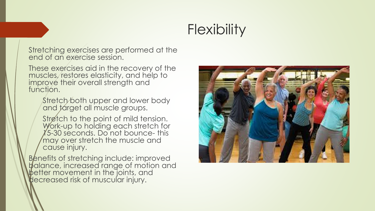## **Flexibility**

Stretching exercises are performed at the end of an exercise session.

These exercises aid in the recovery of the muscles, restores elasticity, and help to improve their overall strength and function.

Stretch both upper and lower body and target all muscle groups.

Stretch to the point of mild tension. Work-up to holding each stretch for  $1/5$ -30 seconds. Do not bounce- this may over stretch the muscle and cause injury.

Benefits of stretching include: improved balance, increased range of motion and better movement in the joints, and decreased risk of muscular injury.